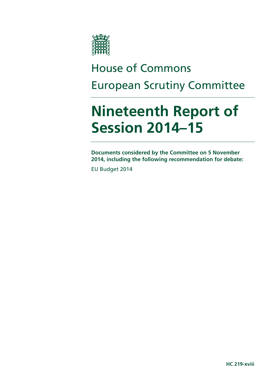

# House of Commons European Scrutiny Committee

# **Nineteenth Report of Session 2014–15**

**Documents considered by the Committee on 5 November 2014, including the following recommendation for debate:**

EU Budget 2014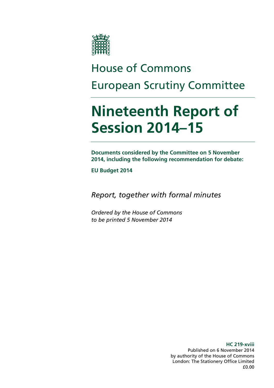

# House of Commons European Scrutiny Committee

# **Nineteenth Report of Session 2014–15**

**Documents considered by the Committee on 5 November 2014, including the following recommendation for debate:**

**EU Budget 2014**

*Report, together with formal minutes*

*Ordered by the House of Commons to be printed 5 November 2014*

> **HC 219-xviii** Published on 6 November 2014 by authority of the House of Commons London: The Stationery Office Limited £0.00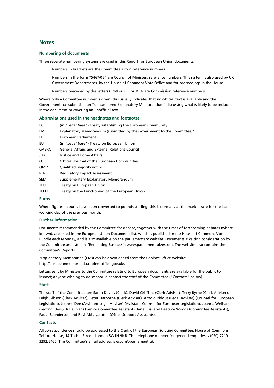#### **Notes**

#### **Numbering of documents**

Three separate numbering systems are used in this Report for European Union documents:

Numbers in brackets are the Committee's own reference numbers.

Numbers in the form "5467/05" are Council of Ministers reference numbers. This system is also used by UK Government Departments, by the House of Commons Vote Office and for proceedings in the House.

Numbers preceded by the letters COM or SEC or JOIN are Commission reference numbers.

Where only a Committee number is given, this usually indicates that no official text is available and the Government has submitted an "unnumbered Explanatory Memorandum" discussing what is likely to be included in the document or covering an unofficial text.

#### **Abbreviations used in the headnotes and footnotes**

| EC           | (in "Legal base") Treaty establishing the European Community           |
|--------------|------------------------------------------------------------------------|
| EM           | Explanatory Memorandum (submitted by the Government to the Committee)* |
| EP           | European Parliament                                                    |
| EU           | (in "Legal base") Treaty on European Union                             |
| <b>GAERC</b> | <b>General Affairs and External Relations Council</b>                  |
| JHA          | Justice and Home Affairs                                               |
| OJ           | Official Journal of the European Communities                           |
| <b>QMV</b>   | Qualified majority voting                                              |
| <b>RIA</b>   | <b>Regulatory Impact Assessment</b>                                    |
| <b>SEM</b>   | Supplementary Explanatory Memorandum                                   |
| <b>TEU</b>   | Treaty on European Union                                               |
| <b>TFEU</b>  | Treaty on the Functioning of the European Union                        |

#### **Euros**

Where figures in euros have been converted to pounds sterling, this is normally at the market rate for the last working day of the previous month.

#### **Further information**

Documents recommended by the Committee for debate, together with the times of forthcoming debates (where known), are listed in the European Union Documents list, which is published in the House of Commons Vote Bundle each Monday, and is also available on the parliamentary website. Documents awaiting consideration by the Committee are listed in "Remaining Business": www.parliament.uk/escom. The website also contains the Committee's Reports.

\*Explanatory Memoranda (EMs) can be downloaded from the Cabinet Office website: http://europeanmemoranda.cabinetoffice.gov.uk/.

Letters sent by Ministers to the Committee relating to European documents are available for the public to inspect; anyone wishing to do so should contact the staff of the Committee ("Contacts" below).

#### **Staff**

The staff of the Committee are Sarah Davies (Clerk), David Griffiths (Clerk Adviser), Terry Byrne (Clerk Adviser), Leigh Gibson (Clerk Adviser), Peter Harborne (Clerk Adviser), Arnold Ridout (Legal Adviser) (Counsel for European Legislation), Joanne Dee (Assistant Legal Adviser) (Assistant Counsel for European Legislation), Joanna Welham (Second Clerk), Julie Evans (Senior Committee Assistant), Jane Bliss and Beatrice Woods (Committee Assistants), Paula Saunderson and Ravi Abhayaratne (Office Support Assistants).

#### **Contacts**

All correspondence should be addressed to the Clerk of the European Scrutiny Committee, House of Commons, Telford House, 14 Tothill Street, London SW1H 9NB. The telephone number for general enquiries is (020) 7219 3292/5465. The Committee's email address is escom@parliament.uk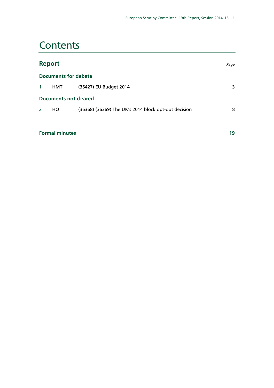# **Contents**

| <b>Report</b>                |     |                                                      | Page |  |  |
|------------------------------|-----|------------------------------------------------------|------|--|--|
| <b>Documents for debate</b>  |     |                                                      |      |  |  |
| $\mathbf{1}$                 | HMT | (36427) EU Budget 2014                               | 3    |  |  |
| <b>Documents not cleared</b> |     |                                                      |      |  |  |
| 2                            | HO. | (36368) (36369) The UK's 2014 block opt-out decision | 8    |  |  |
|                              |     |                                                      |      |  |  |

#### **Formal minutes 19**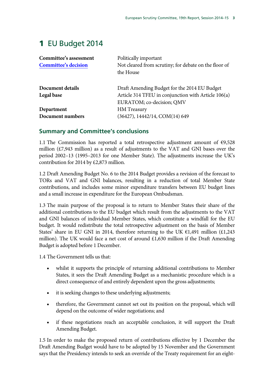## 1 EU Budget 2014

| Committee's assessment      | Politically important                                 |
|-----------------------------|-------------------------------------------------------|
| <b>Committee's decision</b> | Not cleared from scrutiny; for debate on the floor of |
|                             | the House                                             |
| Document details            | Draft Amending Budget for the 2014 EU Budget          |
| Legal base                  | Article 314 TFEU in conjunction with Article 106(a)   |
|                             | EURATOM; co-decision; QMV                             |
| Department                  | <b>HM</b> Treasury                                    |
| Document numbers            | (36427), 14442/14, COM(14) 649                        |

#### **Summary and Committee's conclusions**

1.1 The Commission has reported a total retrospective adjustment amount of  $\epsilon$ 9,528 million (£7,943 million) as a result of adjustments to the VAT and GNI bases over the period 2002–13 (1995–2013 for one Member State). The adjustments increase the UK's contribution for 2014 by £2,873 million.

1.2 Draft Amending Budget No. 6 to the 2014 Budget provides a revision of the forecast to TORs and VAT and GNI balances, resulting in a reduction of total Member State contributions, and includes some minor expenditure transfers between EU budget lines and a small increase in expenditure for the European Ombudsman.

1.3 The main purpose of the proposal is to return to Member States their share of the additional contributions to the EU budget which result from the adjustments to the VAT and GNI balances of individual Member States, which constitute a windfall for the EU budget. It would redistribute the total retrospective adjustment on the basis of Member States' share in EU GNI in 2014, therefore returning to the UK  $\epsilon$ 1,491 million (£1,243 million). The UK would face a net cost of around  $£1,630$  million if the Draft Amending Budget is adopted before 1 December.

1.4 The Government tells us that:

- whilst it supports the principle of returning additional contributions to Member States, it sees the Draft Amending Budget as a mechanistic procedure which is a direct consequence of and entirely dependent upon the gross adjustments;
- it is seeking changes to these underlying adjustments;
- therefore, the Government cannot set out its position on the proposal, which will depend on the outcome of wider negotiations; and
- if these negotiations reach an acceptable conclusion, it will support the Draft Amending Budget.

1.5 In order to make the proposed return of contributions effective by 1 December the Draft Amending Budget would have to be adopted by 15 November and the Government says that the Presidency intends to seek an override of the Treaty requirement for an eight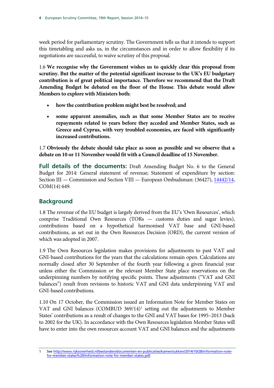week period for parliamentary scrutiny. The Government tells us that it intends to support this timetabling and asks us, in the circumstances and in order to allow flexibility if its negotiations are successful, to waive scrutiny of this proposal.

1.6 **We recognise why the Government wishes us to quickly clear this proposal from scrutiny. But the matter of the potential significant increase to the UK's EU budgetary contribution is of great political importance. Therefore we recommend that the Draft Amending Budget be debated on the floor of the House**. **This debate would allow Members to explore with Ministers both:**

- **how the contribution problem might best be resolved; and**
- some apparent anomalies, such as that some Member States are to receive **repayments related to years before they acceded and Member States, such as Greece and Cyprus, with very troubled economies, are faced with significantly increased contributions.**

1.7 **Obviously the debate should take place as soon as possible and we observe that a debate on 10 or 11 November would fit with a Council deadline of 15 November.**

**Full details of the documents:** Draft Amending Budget No. 6 to the General Budget for 2014: General statement of revenue; Statement of expenditure by section: Section III — Commission and Section VIII — European Ombudsman: (36427)[, 14442/14,](http://esid.parliament.uk/Documents/606e72d5-b623-44e2-9c77-37f09782f986.pdf) COM(14) 649.

## **Background**

1.8 The revenue of the EU budget is largely derived from the EU's 'Own Resources', which comprise Traditional Own Resources (TORs — customs duties and sugar levies), contributions based on a hypothetical harmonised VAT base and GNI-based contributions, as set out in the Own Resources Decision (ORD), the current version of which was adopted in 2007.

1.9 The Own Resources legislation makes provisions for adjustments to past VAT and GNI-based contributions for the years that the calculations remain open. Calculations are normally closed after 30 September of the fourth year following a given financial year unless either the Commission or the relevant Member State place reservations on the underpinning numbers by notifying specific points. These adjustments ("VAT and GNI balances") result from revisions to historic VAT and GNI data underpinning VAT and GNI-based contributions.

1.10 On 17 October, the Commission issued an Information Note for Member States on VAT and GNI balances (COMBUD 369/14)[1](#page-7-0) setting out the adjustments to Member States' contributions as a result of changes to the GNI and VAT bases for 1995–2013 (back to 2002 for the UK). In accordance with the Own Resources legislation Member States will have to enter into the own resources account VAT and GNI balances and the adjustments

<span id="page-7-0"></span>Se[e http://www.rijksoverheid.nl/bestanden/documenten-en-publicaties/kamerstukken/2014/10/28/information-note](http://www.rijksoverheid.nl/bestanden/documenten-en-publicaties/kamerstukken/2014/10/28/information-note-for-member-states%20/information-note-for-member-states.pdf)[for-member-states%20/information-note-for-member-states.pdf.](http://www.rijksoverheid.nl/bestanden/documenten-en-publicaties/kamerstukken/2014/10/28/information-note-for-member-states%20/information-note-for-member-states.pdf)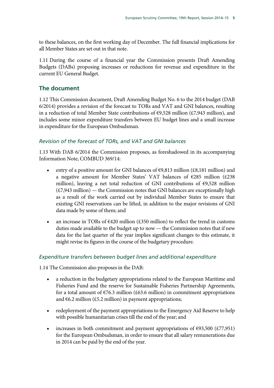to these balances, on the first working day of December. The full financial implications for all Member States are set out in that note.

1.11 During the course of a financial year the Commission presents Draft Amending Budgets (DABs) proposing increases or reductions for revenue and expenditure in the current EU General Budget.

## **The document**

1.12 This Commission document, Draft Amending Budget No. 6 to the 2014 budget (DAB 6/2014) provides a revision of the forecast to TORs and VAT and GNI balances, resulting in a reduction of total Member State contributions of  $\epsilon$ 9,528 million (£7,943 million), and includes some minor expenditure transfers between EU budget lines and a small increase in expenditure for the European Ombudsman.

#### *Revision of the forecast of TORs, and VAT and GNI balances*

1.13 With DAB 6/2014 the Commission proposes, as foreshadowed in its accompanying Information Note, COMBUD 369/14:

- entry of a positive amount for GNI balances of  $\epsilon$ 9,813 million (£8,181 million) and a negative amount for Member States' VAT balances of €285 million (£238 million), leaving a net total reduction of GNI contributions of €9,528 million  $(E7,943$  million) — the Commission notes that GNI balances are exceptionally high as a result of the work carried out by individual Member States to ensure that existing GNI reservations can be lifted, in addition to the major revisions of GNI data made by some of them; and
- an increase in TORs of  $E$ 420 million (£350 million) to reflect the trend in customs duties made available to the budget up to now — the Commission notes that if new data for the last quarter of the year implies significant changes to this estimate, it might revise its figures in the course of the budgetary procedure.

## *Expenditure transfers between budget lines and additional expenditure*

1.14 The Commission also proposes in the DAB:

- a reduction in the budgetary appropriations related to the European Maritime and Fisheries Fund and the reserve for Sustainable Fisheries Partnership Agreements, for a total amount of  $\epsilon$ 76.3 million (£63.6 million) in commitment appropriations and  $6.2$  million (£5.2 million) in payment appropriations;
- redeployment of the payment appropriations to the Emergency Aid Reserve to help with possible humanitarian crises till the end of the year; and
- increases in both commitment and payment appropriations of  $\epsilon$ 93,500 (£77,951) for the European Ombudsman, in order to ensure that all salary remunerations due in 2014 can be paid by the end of the year.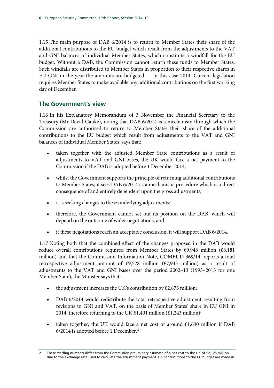1.15 The main purpose of DAB 6/2014 is to return to Member States their share of the additional contributions to the EU budget which result from the adjustments to the VAT and GNI balances of individual Member States, which constitute a windfall for the EU budget. Without a DAB, the Commission cannot return these funds to Member States. Such windfalls are distributed to Member States in proportion to their respective shares in EU GNI in the year the amounts are budgeted — in this case 2014. Current legislation requires Member States to make available any additional contributions on the first working day of December.

## **The Government's view**

1.16 In his Explanatory Memorandum of 3 November the Financial Secretary to the Treasury (Mr David Gauke), noting that DAB 6/2014 is a mechanism through which the Commission are authorised to return to Member States their share of the additional contributions to the EU budget which result from adjustments to the VAT and GNI balances of individual Member States, says that:

- taken together with the adjusted Member State contributions as a result of adjustments to VAT and GNI bases, the UK would face a net payment to the Commission if the DAB is adopted before 1 December 2014;
- whilst the Government supports the principle of returning additional contributions to Member States, it sees DAB 6/2014 as a mechanistic procedure which is a direct consequence of and entirely dependent upon the gross adjustments;
- it is seeking changes to these underlying adjustments;
- therefore, the Government cannot set out its position on the DAB, which will depend on the outcome of wider negotiations; and
- if these negotiations reach an acceptable conclusion, it will support DAB 6/2014.

1.17 Noting both that the combined effect of the changes proposed in the DAB would reduce overall contributions required from Member States by €9,948 million (£8,181 million) and that the Commission Information Note, COMBUD 369/14, reports a total retrospective adjustment amount of  $\epsilon$ 9,528 million (£7,943 million) as a result of adjustments to the VAT and GNI bases over the period 2002–13 (1995–2013 for one Member State), the Minister says that:

- the adjustment increases the UK's contribution by  $£2,873$  million;
- DAB 6/2014 would redistribute the total retrospective adjustment resulting from revisions to GNI and VAT, on the basis of Member States' share in EU GNI in 2014, therefore returning to the UK  $\epsilon$ 1,491 million (£1,243 million);
- taken together, the UK would face a net cost of around  $£1,630$  million if DAB 6/2014 is adopted before 1 December. [2](#page-9-0)

<span id="page-9-0"></span><sup>2</sup> These sterling numbers differ from the Commission preliminary estimate of a net cost to the UK of €2,125 million due to the exchange rate used to calculate the adjustment payment. UK contributions to the EU budget are made in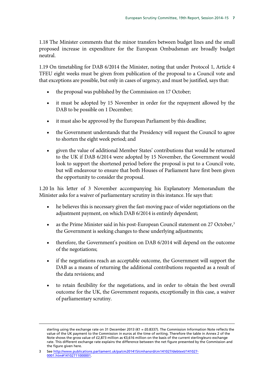1.18 The Minister comments that the minor transfers between budget lines and the small proposed increase in expenditure for the European Ombudsman are broadly budget neutral.

1.19 On timetabling for DAB 6/2014 the Minister, noting that under Protocol 1, Article 4 TFEU eight weeks must be given from publication of the proposal to a Council vote and that exceptions are possible, but only in cases of urgency, and must be justified, says that:

- the proposal was published by the Commission on 17 October;
- it must be adopted by 15 November in order for the repayment allowed by the DAB to be possible on 1 December;
- it must also be approved by the European Parliament by this deadline;
- the Government understands that the Presidency will request the Council to agree to shorten the eight week period; and
- given the value of additional Member States' contributions that would be returned to the UK if DAB 6/2014 were adopted by 15 November, the Government would look to support the shortened period before the proposal is put to a Council vote, but will endeavour to ensure that both Houses of Parliament have first been given the opportunity to consider the proposal.

1.20 In his letter of 3 November accompanying his Explanatory Memorandum the Minister asks for a waiver of parliamentary scrutiny in this instance. He says that:

- he believes this is necessary given the fast-moving pace of wider negotiations on the adjustment payment, on which DAB 6/2014 is entirely dependent;
- as the Prime Minister said in his post-European Council statement on 27 October,<sup>[3](#page-10-0)</sup> the Government is seeking changes to these underlying adjustments;
- therefore, the Government's position on DAB 6/2014 will depend on the outcome of the negotiations;
- if the negotiations reach an acceptable outcome, the Government will support the DAB as a means of returning the additional contributions requested as a result of the data revisions; and
- to retain flexibility for the negotiations, and in order to obtain the best overall outcome for the UK, the Government requests, exceptionally in this case, a waiver of parliamentary scrutiny.

-

sterling using the exchange rate on 31 December 2013 (€1 = £0.8337). The Commission Information Note reflects the value of the UK payment to the Commission in euros at the time of writing. Therefore the table in Annex 2 of the Note shows the gross value of £2,873 million as €3,616 million on the basis of the current sterling/euro exchange rate. This different exchange rate explains the difference between the net figure presented by the Commission and the figure given here.

<span id="page-10-0"></span><sup>3</sup> Se[e http://www.publications.parliament.uk/pa/cm201415/cmhansrd/cm141027/debtext/141027-](http://www.publications.parliament.uk/pa/cm201415/cmhansrd/cm141027/debtext/141027-0001.htm%2314102711000001) [0001.htm#14102711000001.](http://www.publications.parliament.uk/pa/cm201415/cmhansrd/cm141027/debtext/141027-0001.htm%2314102711000001)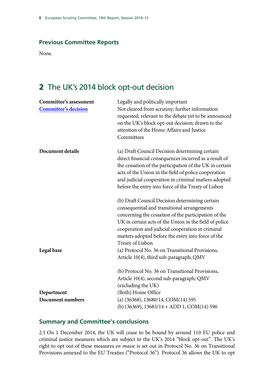#### **Previous Committee Reports**

None.

# 2 The UK's 2014 block opt-out decision

| Committee's assessment      | Legally and politically important                       |
|-----------------------------|---------------------------------------------------------|
| <b>Committee's decision</b> | Not cleared from scrutiny; further information          |
|                             | requested; relevant to the debate yet to be announced   |
|                             | on the UK's block opt-out decision; drawn to the        |
|                             | attention of the Home Affairs and Justice               |
|                             | Committees                                              |
| <b>Document details</b>     | (a) Draft Council Decision determining certain          |
|                             | direct financial consequences incurred as a result of   |
|                             | the cessation of the participation of the UK in certain |
|                             | acts of the Union in the field of police cooperation    |
|                             | and judicial cooperation in criminal matters adopted    |
|                             | before the entry into force of the Treaty of Lisbon     |
|                             | (b) Draft Council Decision determining certain          |
|                             | consequential and transitional arrangements             |
|                             | concerning the cessation of the participation of the    |
|                             | UK in certain acts of the Union in the field of police  |
|                             | cooperation and judicial cooperation in criminal        |
|                             | matters adopted before the entry into force of the      |
|                             | Treaty of Lisbon                                        |
| <b>Legal</b> base           | (a) Protocol No. 36 on Transitional Provisions,         |
|                             | Article 10(4), third sub-paragraph; QMV                 |
|                             | (b) Protocol No. 36 on Transitional Provisions,         |
|                             | Article 10(4), second sub-paragraph; QMV                |
|                             | (excluding the UK)                                      |
| Department                  | (Both) Home Office                                      |
| <b>Document numbers</b>     | (a) (36368), 13680/14, COM(14) 595                      |
|                             | (b) $(36369)$ , $13683/14 + ADD 1$ , $COM(14)$ 596      |

## **Summary and Committee's conclusions**

2.1 On 1 December 2014, the UK will cease to be bound by around 110 EU police and criminal justice measures which are subject to the UK's 2014 "block opt-out". The UK's right to opt out of these measures *en masse* is set out in Protocol No. 36 on Transitional Provisions annexed to the EU Treaties ("Protocol 36"). Protocol 36 allows the UK to opt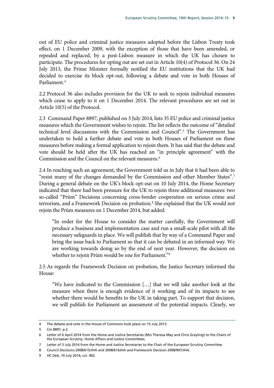out of EU police and criminal justice measures adopted before the Lisbon Treaty took effect, on 1 December 2009, with the exception of those that have been amended, or repealed and replaced, by a post-Lisbon measure in which the UK has chosen to participate. The procedures for opting out are set out in Article 10(4) of Protocol 36. On 24 July 2013, the Prime Minister formally notified the EU institutions that the UK had decided to exercise its block opt-out, following a debate and vote in both Houses of Parliament.<sup>[4](#page-12-0)</sup>

2.2 Protocol 36 also includes provision for the UK to seek to rejoin individual measures which cease to apply to it on 1 December 2014. The relevant procedures are set out in Article 10(5) of the Protocol.

2.3 Command Paper 8897, published on 3 July 2014, lists 35 EU police and criminal justice measures which the Government wishes to rejoin. The list reflects the outcome of "detailed technical level discussions with the Commission and Council".<sup>[5](#page-12-1)</sup> The Government has undertaken to hold a further debate and vote in both Houses of Parliament on these measures before making a formal application to rejoin them. It has said that the debate and vote should be held after the UK has reached an "in principle agreement" with the Commission and the Council on the relevant measures.<sup>[6](#page-12-2)</sup>

2.4 In reaching such an agreement, the Government told us in July that it had been able to "resist many of the changes demanded by the Commission and other Member States".<sup>[7](#page-12-3)</sup> During a general debate on the UK's block opt-out on 10 July 2014, the Home Secretary indicated that there had been pressure for the UK to rejoin three additional measures: two so-called "Prüm" Decisions concerning cross-border cooperation on serious crime and terrorism, and a Framework Decision on probation.<sup>[8](#page-12-4)</sup> She explained that the UK would not rejoin the Prüm measures on 1 December 2014, but added:

"In order for the House to consider the matter carefully, the Government will produce a business and implementation case and run a small-scale pilot with all the necessary safeguards in place. We will publish that by way of a Command Paper and bring the issue back to Parliament so that it can be debated in an informed way. We are working towards doing so by the end of next year. However, the decision on whether to rejoin Prüm would be one for Parliament."<sup>[9](#page-12-5)</sup>

2.5 As regards the Framework Decision on probation, the Justice Secretary informed the House:

"We have indicated to the Commission […] that we will take another look at the measure when there is enough evidence of it working and of its impacts to see whether there would be benefits to the UK in taking part. To support that decision, we will publish for Parliament an assessment of the potential impacts. Clearly, we

<span id="page-12-0"></span><sup>4</sup> The debate and vote in the House of Commons took place on 15 July 2013.

<span id="page-12-1"></span><sup>5</sup> Cm 8897, p.2.

<span id="page-12-2"></span><sup>6</sup> Letter of 6 April 2014 from the Home and Justice Secretaries (Mrs Theresa May and Chris Grayling) to the Chairs of the European Scrutiny, Home Affairs and Justice Committees.

<span id="page-12-3"></span><sup>7</sup> Letter of 3 July 2014 from the Home and Justice Secretaries to the Chair of the European Scrutiny Committee.

<span id="page-12-4"></span><sup>8</sup> Council Decisions 2008/615/JHA and 2008/616JHA and Framework Decision 2008/947/JHA.

<span id="page-12-5"></span><sup>9</sup> *HC Deb,* 10 July 2014, col. 492.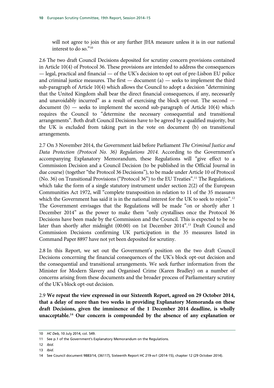will not agree to join this or any further JHA measure unless it is in our national interest to do so."[10](#page-13-0)

2.6 The two draft Council Decisions deposited for scrutiny concern provisions contained in Article 10(4) of Protocol 36. These provisions are intended to address the consequences — legal, practical and financial — of the UK's decision to opt out of pre-Lisbon EU police and criminal justice measures. The first  $-$  document (a)  $-$  seeks to implement the third sub-paragraph of Article 10(4) which allows the Council to adopt a decision "determining that the United Kingdom shall bear the direct financial consequences, if any, necessarily and unavoidably incurred" as a result of exercising the block opt-out. The second document (b) — seeks to implement the second sub-paragraph of Article 10(4) which requires the Council to "determine the necessary consequential and transitional arrangements". Both draft Council Decisions have to be agreed by a qualified majority, but the UK is excluded from taking part in the vote on document (b) on transitional arrangements.

2.7 On 3 November 2014, the Government laid before Parliament *The Criminal Justice and Data Protection (Protocol No. 36) Regulations 2014*. According to the Government's accompanying Explanatory Memorandum, these Regulations will "give effect to a Commission Decision and a Council Decision (to be published in the Official Journal in due course) (together "the Protocol 36 Decisions"), to be made under Article 10 of Protocol (No. 36) on Transitional Provisions ("Protocol 36") to the EU Treaties".[11](#page-13-1) The Regulations, which take the form of a single statutory instrument under section 2(2) of the European Communities Act 1972, will "complete transposition in relation to 11 of the 35 measures which the Government has said it is in the national interest for the UK to seek to rejoin".<sup>[12](#page-13-2)</sup> The Government envisages that the Regulations will be made "on or shortly after 1 December 2014" as the power to make them "only crystallises once the Protocol 36 Decisions have been made by the Commission and the Council. This is expected to be no later than shortly after midnight (00:00) on 1st December 2014".[13](#page-13-3) Draft Council and Commission Decisions confirming UK participation in the 35 measures listed in Command Paper 8897 have not yet been deposited for scrutiny.

2.8 In this Report, we set out the Government's position on the two draft Council Decisions concerning the financial consequences of the UK's block opt-out decision and the consequential and transitional arrangements. We seek further information from the Minister for Modern Slavery and Organised Crime (Karen Bradley) on a number of concerns arising from these documents and the broader process of Parliamentary scrutiny of the UK's block opt-out decision.

2.9 **We repeat the view expressed in our Sixteenth Report, agreed on 29 October 2014, that a delay of more than two weeks in providing Explanatory Memoranda on these draft Decisions, given the imminence of the 1 December 2014 deadline, is wholly unacceptable.[14](#page-13-4) Our concern is compounded by the absence of any explanation or** 

<span id="page-13-0"></span><sup>10</sup> *HC Deb,* 10 July 2014, col. 549.

<span id="page-13-1"></span><sup>11</sup> See p.1 of the Government's Explanatory Memorandum on the Regulations.

<span id="page-13-2"></span><sup>12</sup> *Ibid*.

<span id="page-13-3"></span><sup>13</sup> *Ibid*.

<span id="page-13-4"></span><sup>14</sup> See Council document 9883/14, (36117), Sixteenth Report HC 219-xv1 (2014-15), chapter 12 (29 October 2014).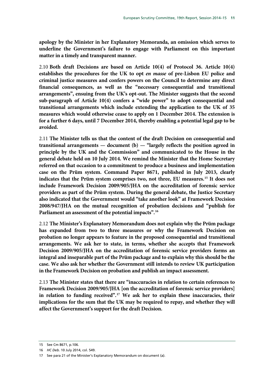**apology by the Minister in her Explanatory Memoranda, an omission which serves to underline the Government's failure to engage with Parliament on this important matter in a timely and transparent manner.**

2.10 **Both draft Decisions are based on Article 10(4) of Protocol 36. Article 10(4) establishes the procedures for the UK to opt** *en masse* **of pre-Lisbon EU police and criminal justice measures and confers powers on the Council to determine any direct financial consequences, as well as the "necessary consequential and transitional arrangements", ensuing from the UK's opt-out. The Minister suggests that the second sub-paragraph of Article 10(4) confers a "wide power" to adopt consequential and transitional arrangements which include extending the application to the UK of 35 measures which would otherwise cease to apply on 1 December 2014. The extension is for a further 6 days, until 7 December 2014, thereby enabling a potential legal gap to be avoided.**

2.11 **The Minister tells us that the content of the draft Decision on consequential and transitional arrangements — document (b) — "largely reflects the position agreed in principle by the UK and the Commission" and communicated to the House in the general debate held on 10 July 2014. We remind the Minister that the Home Secretary referred on that occasion to a commitment to produce a business and implementation case on the Prüm system. Command Paper 8671, published in July 2013, clearly indicates that the Prüm system comprises two, not three, EU measures[.15](#page-14-0) It does not include Framework Decision 2009/905/JHA on the accreditation of forensic service providers as part of the Prüm system. During the general debate, the Justice Secretary also indicated that the Government would "take another look" at Framework Decision 2008/947/JHA on the mutual recognition of probation decisions and "publish for Parliament an assessment of the potential impacts".[16](#page-14-1)**

2.12 **The Minister's Explanatory Memorandum does not explain why the Prüm package has expanded from two to three measures or why the Framework Decision on probation no longer appears to feature in the proposed consequential and transitional arrangements. We ask her to state, in terms, whether she accepts that Framework Decision 2009/905/JHA on the accreditation of forensic service providers forms an integral and inseparable part of the Prüm package and to explain why this should be the case. We also ask her whether the Government still intends to review UK participation in the Framework Decision on probation and publish an impact assessment.**

2.13 **The Minister states that there are "inaccuracies in relation to certain references to Framework Decision 2009/905/JHA [on the accreditation of forensic service providers] in relation to funding received"[.17](#page-14-2) We ask her to explain these inaccuracies, their implications for the sum that the UK may be required to repay, and whether they will affect the Government's support for the draft Decision.**

<span id="page-14-0"></span><sup>15</sup> See Cm 8671, p.106.

<span id="page-14-1"></span><sup>16</sup> *HC Deb*. 10 July 2014, col. 549.

<span id="page-14-2"></span><sup>17</sup> See para 21 of the Minister's Explanatory Memorandum on document (a).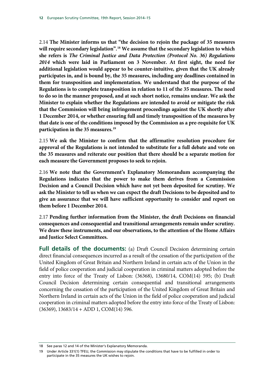2.14 **The Minister informs us that "the decision to rejoin the package of 35 measures will require secondary legislation".[18](#page-15-0) We assume that the secondary legislation to which she refers is** *The Criminal Justice and Data Protection (Protocol No. 36) Regulations 2014* **which were laid in Parliament on 3 November. At first sight, the need for additional legislation would appear to be counter-intuitive, given that the UK already participates in, and is bound by, the 35 measures, including any deadlines contained in them for transposition and implementation. We understand that the purpose of the Regulations is to complete transposition in relation to 11 of the 35 measures. The need to do so in the manner proposed, and at such short notice, remains unclear. We ask the Minister to explain whether the Regulations are intended to avoid or mitigate the risk that the Commission will bring infringement proceedings against the UK shortly after 1 December 2014, or whether ensuring full and timely transposition of the measures by that date is one of the conditions imposed by the Commission as a pre-requisite for UK participation in the 35 measures.[19](#page-15-1)**

2.15 **We ask the Minister to confirm that the affirmative resolution procedure for approval of the Regulations is not intended to substitute for a full debate and vote on the 35 measures and reiterate our position that there should be a separate motion for each measure the Government proposes to seek to rejoin.**

2.16 **We note that the Government's Explanatory Memorandum accompanying the Regulations indicates that the power to make them derives from a Commission Decision and a Council Decision which have not yet been deposited for scrutiny. We ask the Minister to tell us when we can expect the draft Decisions to be deposited and to give an assurance that we will have sufficient opportunity to consider and report on them before 1 December 2014.**

2.17 **Pending further information from the Minister, the draft Decisions on financial consequences and consequential and transitional arrangements remain under scrutiny. We draw these instruments, and our observations, to the attention of the Home Affairs and Justice Select Committees.**

**Full details of the documents:** (a) Draft Council Decision determining certain direct financial consequences incurred as a result of the cessation of the participation of the United Kingdom of Great Britain and Northern Ireland in certain acts of the Union in the field of police cooperation and judicial cooperation in criminal matters adopted before the entry into force of the Treaty of Lisbon: (36368), 13680/14, COM(14) 595; (b) Draft Council Decision determining certain consequential and transitional arrangements concerning the cessation of the participation of the United Kingdom of Great Britain and Northern Ireland in certain acts of the Union in the field of police cooperation and judicial cooperation in criminal matters adopted before the entry into force of the Treaty of Lisbon: (36369), 13683/14 + ADD 1, COM(14) 596.

<span id="page-15-0"></span><sup>18</sup> See paras 12 and 14 of the Minister's Explanatory Memoranda.

<span id="page-15-1"></span><sup>19</sup> Under Article 331(1) TFEU, the Commission may stipulate the conditions that have to be fulfilled in order to participate in the 35 measures the UK wishes to rejoin.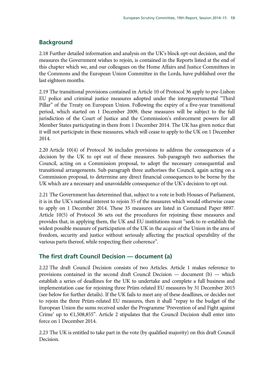## **Background**

2.18 Further detailed information and analysis on the UK's block opt-out decision, and the measures the Government wishes to rejoin, is contained in the Reports listed at the end of this chapter which we, and our colleagues on the Home Affairs and Justice Committees in the Commons and the European Union Committee in the Lords, have published over the last eighteen months.

2.19 The transitional provisions contained in Article 10 of Protocol 36 apply to pre-Lisbon EU police and criminal justice measures adopted under the intergovernmental "Third Pillar" of the Treaty on European Union. Following the expiry of a five-year transitional period, which started on 1 December 2009, these measures will be subject to the full jurisdiction of the Court of Justice and the Commission's enforcement powers for all Member States participating in them from 1 December 2014. The UK has given notice that it will not participate in these measures, which will cease to apply to the UK on 1 December 2014.

2.20 Article 10(4) of Protocol 36 includes provisions to address the consequences of a decision by the UK to opt out of these measures. Sub-paragraph two authorises the Council, acting on a Commission proposal, to adopt the necessary consequential and transitional arrangements. Sub-paragraph three authorises the Council, again acting on a Commission proposal, to determine any direct financial consequences to be borne by the UK which are a necessary and unavoidable consequence of the UK's decision to opt out.

2.21 The Government has determined that, subject to a vote in both Houses of Parliament, it is in the UK's national interest to rejoin 35 of the measures which would otherwise cease to apply on 1 December 2014. These 35 measures are listed in Command Paper 8897. Article 10(5) of Protocol 36 sets out the procedures for rejoining these measures and provides that, in applying them, the UK and EU institutions must "seek to re-establish the widest possible measure of participation of the UK in the *acquis* of the Union in the area of freedom, security and justice without seriously affecting the practical operability of the various parts thereof, while respecting their coherence".

## **The first draft Council Decision — document (a)**

2.22 The draft Council Decision consists of two Articles. Article 1 makes reference to provisions contained in the second draft Council Decision — document (b) — which establish a series of deadlines for the UK to undertake and complete a full business and implementation case for rejoining three Prüm-related EU measures by 31 December 2015 (see below for further details). If the UK fails to meet any of these deadlines, or decides not to rejoin the three Prüm-related EU measures, then it shall "repay to the budget of the European Union the sums received under the Programme 'Prevention of and Fight against Crime' up to  $\epsilon$ 1,508,855". Article 2 stipulates that the Council Decision shall enter into force on 1 December 2014.

2.23 The UK is entitled to take part in the vote (by qualified majority) on this draft Council Decision.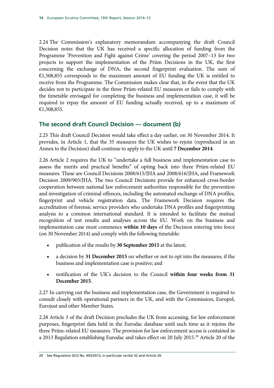2.24 The Commission's explanatory memorandum accompanying the draft Council Decision notes that the UK has received a specific allocation of funding from the Programme 'Prevention and Fight against Crime' covering the period 2007–13 for two projects to support the implementation of the Prüm Decisions in the UK, the first concerning the exchange of DNA, the second fingerprint evaluation. The sum of €1,508,855 corresponds to the maximum amount of EU funding the UK is entitled to receive from the Programme. The Commission makes clear that, in the event that the UK decides not to participate in the three Prüm-related EU measures or fails to comply with the timetable envisaged for completing the business and implementation case, it will be required to repay the amount of EU funding actually received, up to a maximum of  $\bigoplus$ , 508, 855.

## **The second draft Council Decision — document (b)**

2.25 This draft Council Decision would take effect a day earlier, on 30 November 2014. It provides, in Article 1, that the 35 measures the UK wishes to rejoin (reproduced in an Annex to the Decision) shall continue to apply to the UK until **7 December 2014**.

2.26 Article 2 requires the UK to "undertake a full business and implementation case to assess the merits and practical benefits" of opting back into three Prüm-related EU measures. These are Council Decisions 2008/615/JHA and 2008/616/JHA, and Framework Decision 2009/905/JHA. The two Council Decisions provide for enhanced cross-border cooperation between national law enforcement authorities responsible for the prevention and investigation of criminal offences, including the automated exchange of DNA profiles, fingerprint and vehicle registration data. The Framework Decision requires the accreditation of forensic service providers who undertake DNA profiles and fingerprinting analysis to a common international standard. It is intended to facilitate the mutual recognition of test results and analyses across the EU. Work on the business and implementation case must commence **within 10 days** of the Decision entering into force (on 30 November 2014) and comply with the following timetable:

- publication of the results by **30 September 2015** at the latest;
- a decision by **31 December 2015** on whether or not to opt into the measures, if the business and implementation case is positive; and
- notification of the UK's decision to the Council **within four weeks from 31 December 2015**.

2.27 In carrying out the business and implementation case, the Government is required to consult closely with operational partners in the UK, and with the Commission, Europol, Eurojust and other Member States.

2.28 Article 3 of the draft Decision precludes the UK from accessing, for law enforcement purposes, fingerprint data held in the Eurodac database until such time as it rejoins the three Prüm-related EU measures. The provision for law enforcement access is contained in a 2013 Regulation establishing Eurodac and takes effect on 20 July 2015.[20](#page-17-0) Article 20 of the

<span id="page-17-0"></span><sup>20</sup> See Regulation (EU) No. 603/2013, in particular recital 32 and Article 20.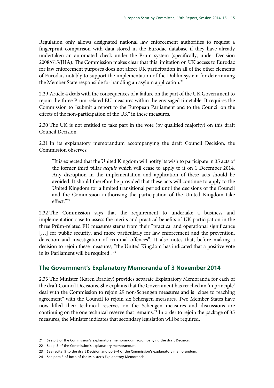Regulation only allows designated national law enforcement authorities to request a fingerprint comparison with data stored in the Eurodac database if they have already undertaken an automated check under the Prüm system (specifically, under Decision 2008/615/JHA). The Commission makes clear that this limitation on UK access to Eurodac for law enforcement purposes does not affect UK participation in all of the other elements of Eurodac, notably to support the implementation of the Dublin system for determining the Member State responsible for handling an asylum application.<sup>[21](#page-18-0)</sup>

2.29 Article 4 deals with the consequences of a failure on the part of the UK Government to rejoin the three Prüm-related EU measures within the envisaged timetable. It requires the Commission to "submit a report to the European Parliament and to the Council on the effects of the non-participation of the UK" in these measures.

2.30 The UK is not entitled to take part in the vote (by qualified majority) on this draft Council Decision.

2.31 In its explanatory memorandum accompanying the draft Council Decision, the Commission observes:

"It is expected that the United Kingdom will notify its wish to participate in 35 acts of the former third pillar *acquis* which will cease to apply to it on 1 December 2014. Any disruption in the implementation and application of these acts should be avoided. It should therefore be provided that these acts will continue to apply to the United Kingdom for a limited transitional period until the decisions of the Council and the Commission authorising the participation of the United Kingdom take effect."[22](#page-18-1)

2.32 The Commission says that the requirement to undertake a business and implementation case to assess the merits and practical benefits of UK participation in the three Prüm-related EU measures stems from their "practical and operational significance [...] for public security, and more particularly for law enforcement and the prevention, detection and investigation of criminal offences". It also notes that, before making a decision to rejoin these measures, "the United Kingdom has indicated that a positive vote in its Parliament will be required".<sup>[23](#page-18-2)</sup>

#### **The Government's Explanatory Memoranda of 3 November 2014**

2.33 The Minister (Karen Bradley) provides separate Explanatory Memoranda for each of the draft Council Decisions. She explains that the Government has reached an 'in principle' deal with the Commission to rejoin 29 non-Schengen measures and is "close to reaching agreement" with the Council to rejoin six Schengen measures. Two Member States have now lifted their technical reserves on the Schengen measures and discussions are continuing on the one technical reserve that remains.<sup>[24](#page-18-3)</sup> In order to rejoin the package of 35 measures, the Minister indicates that secondary legislation will be required.

<span id="page-18-0"></span><sup>21</sup> See p.3 of the Commission's explanatory memorandum accompanying the draft Decision.

<span id="page-18-1"></span><sup>22</sup> See p.3 of the Commission's explanatory memorandum.

<span id="page-18-2"></span><sup>23</sup> See recital 9 to the draft Decision and pp.3–4 of the Commission's explanatory memorandum.

<span id="page-18-3"></span><sup>24</sup> See para 3 of both of the Minister's Explanatory Memoranda.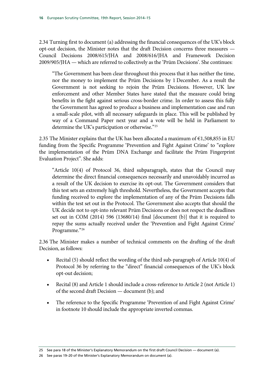2.34 Turning first to document (a) addressing the financial consequences of the UK's block opt-out decision, the Minister notes that the draft Decision concerns three measures — Council Decisions 2008/615/JHA and 2008/616/JHA and Framework Decision 2009/905/JHA — which are referred to collectively as the 'Prüm Decisions'. She continues:

"The Government has been clear throughout this process that it has neither the time, nor the money to implement the Prüm Decisions by 1 December. As a result the Government is not seeking to rejoin the Prüm Decisions. However, UK law enforcement and other Member States have stated that the measure could bring benefits in the fight against serious cross-border crime. In order to assess this fully the Government has agreed to produce a business and implementation case and run a small-scale pilot, with all necessary safeguards in place. This will be published by way of a Command Paper next year and a vote will be held in Parliament to determine the UK's participation or otherwise."[25](#page-19-0)

2.35 The Minister explains that the UK has been allocated a maximum of  $\epsilon$ 1,508,855 in EU funding from the Specific Programme 'Prevention and Fight Against Crime' to "explore the implementation of the Prüm DNA Exchange and facilitate the Prüm Fingerprint Evaluation Project". She adds:

"Article 10(4) of Protocol 36, third subparagraph, states that the Council may determine the direct financial consequences necessarily and unavoidably incurred as a result of the UK decision to exercise its opt-out. The Government considers that this test sets an extremely high threshold. Nevertheless, the Government accepts that funding received to explore the implementation of any of the Prüm Decisions falls within the test set out in the Protocol. The Government also accepts that should the UK decide not to opt-into relevant Prüm Decisions or does not respect the deadlines set out in COM (2014) 596 (13680/14) final [document (b)] that it is required to repay the sums actually received under the 'Prevention and Fight Against Crime' Programme."[26](#page-19-1)

2.36 The Minister makes a number of technical comments on the drafting of the draft Decision, as follows:

- Recital (5) should reflect the wording of the third sub-paragraph of Article 10(4) of Protocol 36 by referring to the "direct" financial consequences of the UK's block opt-out decision;
- Recital (8) and Article 1 should include a cross-reference to Article 2 (not Article 1) of the second draft Decision — document (b); and
- The reference to the Specific Programme 'Prevention of and Fight Against Crime' in footnote 10 should include the appropriate inverted commas.

<span id="page-19-0"></span><sup>25</sup> See para 18 of the Minister's Explanatory Memorandum on the first draft Council Decision — document (a).

<span id="page-19-1"></span><sup>26</sup> See paras 19–20 of the Minister's Explanatory Memorandum on document (a).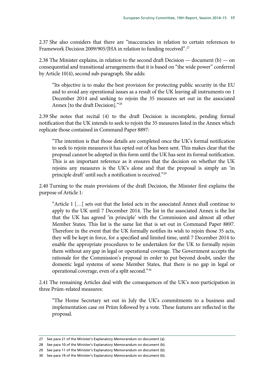2.37 She also considers that there are "inaccuracies in relation to certain references to Framework Decision 2009/905/JHA in relation to funding received".<sup>[27](#page-20-0)</sup>

2.38 The Minister explains, in relation to the second draft Decision — document  $(b)$  — on consequential and transitional arrangements that it is based on "the wide power" conferred by Article 10(4), second sub-paragraph. She adds:

"Its objective is to make the best provision for protecting public security in the EU and to avoid any operational issues as a result of the UK leaving all instruments on 1 December 2014 and seeking to rejoin the 35 measures set out in the associated Annex [to the draft Decision]."[28](#page-20-1)

2.39 She notes that recital (4) to the draft Decision is incomplete, pending formal notification that the UK intends to seek to rejoin the 35 measures listed in the Annex which replicate those contained in Command Paper 8897:

"The intention is that those details are completed once the UK's formal notification to seek to rejoin measures it has opted out of has been sent. This makes clear that the proposal cannot be adopted in this form until the UK has sent its formal notification. This is an important reference as it ensures that the decision on whether the UK rejoins any measures is the UK's alone and that the proposal is simply an 'in principle draft' until such a notification is received."[29](#page-20-2)

2.40 Turning to the main provisions of the draft Decision, the Minister first explains the purpose of Article 1:

"Article 1 […[ sets out that the listed acts in the associated Annex shall continue to apply to the UK until 7 December 2014. The list in the associated Annex is the list that the UK has agreed 'in principle' with the Commission and almost all other Member States. This list is the same list that is set out in Command Paper 8897. Therefore in the event that the UK formally notifies its wish to rejoin those 35 acts, they will be kept in force, for a specified and limited time, until 7 December 2014 to enable the appropriate procedures to be undertaken for the UK to formally rejoin them without any gap in legal or operational coverage. The Government accepts the rationale for the Commission's proposal in order to put beyond doubt, under the domestic legal systems of some Member States, that there is no gap in legal or operational coverage, even of a split second.["30](#page-20-3)

2.41 The remaining Articles deal with the consequences of the UK's non-participation in three Prüm-related measures:

"The Home Secretary set out in July the UK's commitments to a business and implementation case on Prüm followed by a vote. These features are reflected in the proposal.

<span id="page-20-0"></span><sup>27</sup> See para 21 of the Minister's Explanatory Memorandum on document (a).

<span id="page-20-1"></span><sup>28</sup> See para 10 of the Minister's Explanatory Memorandum on document (b).

<span id="page-20-2"></span><sup>29</sup> See para 11 of the Minister's Explanatory Memorandum on document (b).

<span id="page-20-3"></span><sup>30</sup> See para 19 of the Minister's Explanatory Memorandum on document (b).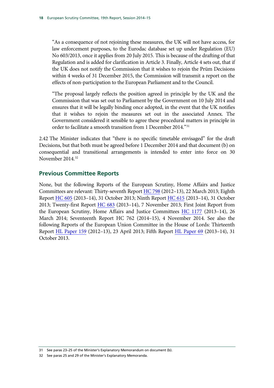"As a consequence of not rejoining these measures, the UK will not have access, for law enforcement purposes, to the Eurodac database set up under Regulation (EU) No 603/2013, once it applies from 20 July 2015. This is because of the drafting of that Regulation and is added for clarification in Article 3. Finally, Article 4 sets out, that if the UK does not notify the Commission that it wishes to rejoin the Prüm Decisions within 4 weeks of 31 December 2015, the Commission will transmit a report on the effects of non-participation to the European Parliament and to the Council.

"The proposal largely reflects the position agreed in principle by the UK and the Commission that was set out to Parliament by the Government on 10 July 2014 and ensures that it will be legally binding once adopted, in the event that the UK notifies that it wishes to rejoin the measures set out in the associated Annex. The Government considered it sensible to agree these procedural matters in principle in order to facilitate a smooth transition from 1 December 2014."[31](#page-21-0)

2.42 The Minister indicates that "there is no specific timetable envisaged" for the draft Decisions, but that both must be agreed before 1 December 2014 and that document (b) on consequential and transitional arrangements is intended to enter into force on 30 November 2014.<sup>[32](#page-21-1)</sup>

#### **Previous Committee Reports**

None, but the following Reports of the European Scrutiny, Home Affairs and Justice Committees are relevant: Thirty-seventh Report [HC 798](http://www.publications.parliament.uk/pa/cm201213/cmselect/cmeuleg/798/79802.htm) (2012–13), 22 March 2013; Eighth Report [HC 605](http://www.publications.parliament.uk/pa/cm201314/cmselect/cmjust/605/60502.htm) (2013–14), 31 October 2013; Ninth Report [HC 615](http://www.publications.parliament.uk/pa/cm201314/cmselect/cmhaff/615/61502.htm) (2013–14), 31 October 2013; Twenty-first Report [HC 683](http://www.publications.parliament.uk/pa/cm201314/cmselect/cmeuleg/683/68302.htm) (2013–14), 7 November 2013; First Joint Report from the European Scrutiny, Home Affairs and Justice Committees [HC 1177](http://www.publications.parliament.uk/pa/cm201314/cmselect/cmhaff/1177/117702.htm) (2013–14), 26 March 2014; Seventeenth Report HC 762 (2014–15), 4 November 2014. See also the following Reports of the European Union Committee in the House of Lords: Thirteenth Report [HL Paper 159](http://www.publications.parliament.uk/pa/ld201213/ldselect/ldeucom/159/15902.htm) (2012–13), 23 April 2013; Fifth Report [HL Paper 69](http://www.publications.parliament.uk/pa/ld201314/ldselect/ldeucom/69/6902.htm) (2013–14), 31 October 2013.

<span id="page-21-0"></span><sup>31</sup> See paras 23–25 of the Minister's Explanatory Memorandum on document (b).

<span id="page-21-1"></span><sup>32</sup> See paras 25 and 29 of the Minister's Explanatory Memoranda.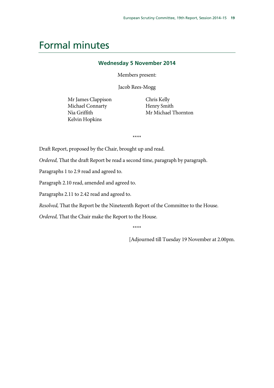# Formal minutes

#### **Wednesday 5 November 2014**

Members present:

Jacob Rees-Mogg

Mr James Clappison Michael Connarty Nia Griffith Kelvin Hopkins

Chris Kelly Henry Smith Mr Michael Thornton

\*\*\*\*

Draft Report, proposed by the Chair, brought up and read.

*Ordered,* That the draft Report be read a second time, paragraph by paragraph.

Paragraphs 1 to 2.9 read and agreed to.

Paragraph 2.10 read, amended and agreed to.

Paragraphs 2.11 to 2.42 read and agreed to.

*Resolved,* That the Report be the Nineteenth Report of the Committee to the House.

*Ordered,* That the Chair make the Report to the House.

\*\*\*\*

[Adjourned till Tuesday 19 November at 2.00pm.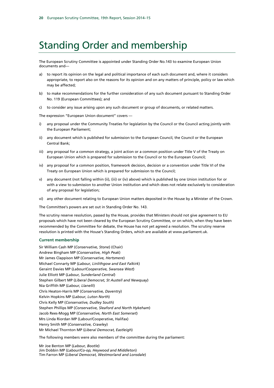# Standing Order and membership

The European Scrutiny Committee is appointed under Standing Order No.143 to examine European Union documents and—

- a) to report its opinion on the legal and political importance of each such document and, where it considers appropriate, to report also on the reasons for its opinion and on any matters of principle, policy or law which may be affected;
- b) to make recommendations for the further consideration of any such document pursuant to Standing Order No. 119 (European Committees); and
- c) to consider any issue arising upon any such document or group of documents, or related matters.

The expression "European Union document" covers —

- i) any proposal under the Community Treaties for legislation by the Council or the Council acting jointly with the European Parliament;
- ii) any document which is published for submission to the European Council, the Council or the European Central Bank;
- iii) any proposal for a common strategy, a joint action or a common position under Title V of the Treaty on European Union which is prepared for submission to the Council or to the European Council;
- iv) any proposal for a common position, framework decision, decision or a convention under Title VI of the Treaty on European Union which is prepared for submission to the Council;
- v) any document (not falling within (ii), (iii) or (iv) above) which is published by one Union institution for or with a view to submission to another Union institution and which does not relate exclusively to consideration of any proposal for legislation;
- vi) any other document relating to European Union matters deposited in the House by a Minister of the Crown.

The Committee's powers are set out in Standing Order No. 143.

The scrutiny reserve resolution, passed by the House, provides that Ministers should not give agreement to EU proposals which have not been cleared by the European Scrutiny Committee, or on which, when they have been recommended by the Committee for debate, the House has not yet agreed a resolution. The scrutiny reserve resolution is printed with the House's Standing Orders, which are available at www.parliament.uk.

#### **Current membership**

Sir William Cash MP (*Conservative, Stone*) (Chair) Andrew Bingham MP (*Conservative, High Peak*) Mr James Clappison MP (*Conservative, Hertsmere*) Michael Connarty MP (*Labour, Linlithgow and East Falkirk*) Geraint Davies MP (*Labour/Cooperative, Swansea West*) Julie Elliott MP (*Labour, Sunderland Central*) Stephen Gilbert MP (*Liberal Democrat, St Austell and Newquay*) Nia Griffith MP (*Labour, Llanelli*) Chris Heaton-Harris MP (*Conservative, Daventry*) Kelvin Hopkins MP (*Labour, Luton North*) Chris Kelly MP (*Conservative, Dudley South*) Stephen Phillips MP (*Conservative, Sleaford and North Hykeham*) Jacob Rees-Mogg MP (*Conservative, North East Somerset*) Mrs Linda Riordan MP (Labour/Cooperative, Halifax) Henry Smith MP (*Conservative, Crawley*) Mr Michael Thornton MP (*Liberal Democrat, Eastleigh*)

The following members were also members of the committee during the parliament:

Mr Joe Benton MP (*Labour, Bootle*) Jim Dobbin MP (*Labour/Co-op, Heywood and Middleton*) Tim Farron MP (*Liberal Democrat, Westmorland and Lonsdale*)